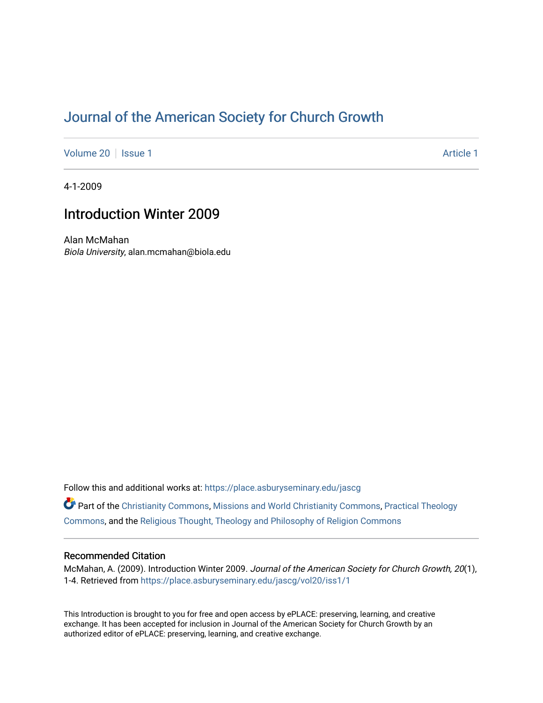# [Journal of the American Society for Church Growth](https://place.asburyseminary.edu/jascg)

[Volume 20](https://place.asburyseminary.edu/jascg/vol20) | [Issue 1](https://place.asburyseminary.edu/jascg/vol20/iss1) Article 1

4-1-2009

## Introduction Winter 2009

Alan McMahan Biola University, alan.mcmahan@biola.edu

Follow this and additional works at: [https://place.asburyseminary.edu/jascg](https://place.asburyseminary.edu/jascg?utm_source=place.asburyseminary.edu%2Fjascg%2Fvol20%2Fiss1%2F1&utm_medium=PDF&utm_campaign=PDFCoverPages)

Part of the [Christianity Commons,](https://network.bepress.com/hgg/discipline/1181?utm_source=place.asburyseminary.edu%2Fjascg%2Fvol20%2Fiss1%2F1&utm_medium=PDF&utm_campaign=PDFCoverPages) [Missions and World Christianity Commons](https://network.bepress.com/hgg/discipline/1187?utm_source=place.asburyseminary.edu%2Fjascg%2Fvol20%2Fiss1%2F1&utm_medium=PDF&utm_campaign=PDFCoverPages), [Practical Theology](https://network.bepress.com/hgg/discipline/1186?utm_source=place.asburyseminary.edu%2Fjascg%2Fvol20%2Fiss1%2F1&utm_medium=PDF&utm_campaign=PDFCoverPages)  [Commons](https://network.bepress.com/hgg/discipline/1186?utm_source=place.asburyseminary.edu%2Fjascg%2Fvol20%2Fiss1%2F1&utm_medium=PDF&utm_campaign=PDFCoverPages), and the [Religious Thought, Theology and Philosophy of Religion Commons](https://network.bepress.com/hgg/discipline/544?utm_source=place.asburyseminary.edu%2Fjascg%2Fvol20%2Fiss1%2F1&utm_medium=PDF&utm_campaign=PDFCoverPages) 

### Recommended Citation

McMahan, A. (2009). Introduction Winter 2009. Journal of the American Society for Church Growth, 20(1), 1-4. Retrieved from [https://place.asburyseminary.edu/jascg/vol20/iss1/1](https://place.asburyseminary.edu/jascg/vol20/iss1/1?utm_source=place.asburyseminary.edu%2Fjascg%2Fvol20%2Fiss1%2F1&utm_medium=PDF&utm_campaign=PDFCoverPages)

This Introduction is brought to you for free and open access by ePLACE: preserving, learning, and creative exchange. It has been accepted for inclusion in Journal of the American Society for Church Growth by an authorized editor of ePLACE: preserving, learning, and creative exchange.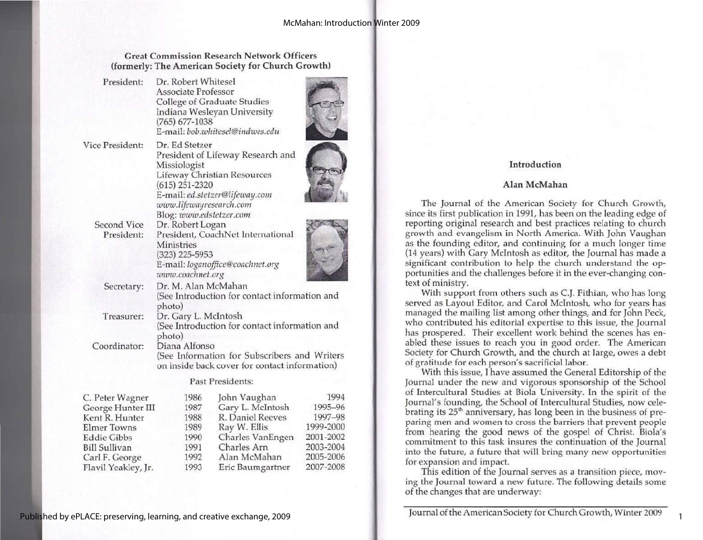2007-2008

### Great Commission Research Network Officers (formerly: The American Society for Church Growth)

| President:                       | Dr. Robert Whitesel<br><b>Associate Professor</b><br>$(765) 677 - 1038$                                                                                                                                        | <b>College of Graduate Studies</b><br>Indiana Wesleyan University<br>E-mail: bob.whitesel@indwes.edu |           |
|----------------------------------|----------------------------------------------------------------------------------------------------------------------------------------------------------------------------------------------------------------|------------------------------------------------------------------------------------------------------|-----------|
| Vice President:                  | Dr. Ed Stetzer<br>President of Lifeway Research and<br>Missiologist<br>Lifeway Christian Resources<br>$(615)$ 251-2320<br>E-mail: ed.stetzer@lifeway.com<br>www.lifewayresearch.com<br>Blog: www.edstetzer.com |                                                                                                      |           |
| <b>Second Vice</b><br>President: | Dr. Robert Logan<br>President, CoachNet International<br>Ministries<br>(323) 225-5953<br>E-mail: loganoffice@coachnet.org<br>www.coachnet.org                                                                  |                                                                                                      |           |
| Secretary:                       | Dr. M. Alan McMahan<br>(See Introduction for contact information and<br>photo)                                                                                                                                 |                                                                                                      |           |
| Treasurer:                       | Dr. Gary L. McIntosh<br>(See Introduction for contact information and<br>photo)                                                                                                                                |                                                                                                      |           |
| Coordinator:                     | Diana Alfonso                                                                                                                                                                                                  | (See Information for Subscribers and Writers<br>on inside back cover for contact information)        |           |
|                                  |                                                                                                                                                                                                                | Past Presidents:                                                                                     |           |
| C. Peter Wagner                  | 1986                                                                                                                                                                                                           | John Vaughan                                                                                         | 1994      |
| George Hunter III                | 1987                                                                                                                                                                                                           | Gary L. McIntosh                                                                                     | 1995-96   |
| Kent R. Hunter                   | 1988                                                                                                                                                                                                           | R. Daniel Reeves                                                                                     | 1997-98   |
| <b>Elmer Towns</b>               | 1989                                                                                                                                                                                                           | Ray W. Ellis                                                                                         | 1999-2000 |
| <b>Eddie Gibbs</b>               | 1990                                                                                                                                                                                                           | Charles VanEngen                                                                                     | 2001-2002 |
| <b>Bill Sullivan</b>             | 1991                                                                                                                                                                                                           | Charles Arn                                                                                          | 2003-2004 |
| Carl F. George                   | 1992                                                                                                                                                                                                           | Alan McMahan                                                                                         | 2005-2006 |

1993 Eric Baumgartner

### Introduction

#### Alan McMahan

The Journal of the American Society for Church Growth, since its first publication in 1991, has been on the leading edge of reporting original research and best practices relating to church growth and evangelism in North America. With John Vaughan as the founding editor, and continuing for a much longer time (14 years) with Gary McIntosh as editor, the Journal has made a significant contribution to help the church understand the opportunities and the challenges before it in the ever-changing context of ministry.<br>With support from others such as C.J. Fithian, who has long

 served as Layout Editor, and Carol McIntosh, who for years has managed the mailing list among other things, and for John Peck, who contributed his editorial expertise to this issue, the Journal has prospered. Their excellent work behind the scenes has en-<br>abled these issues to reach you in good order. The American<br>Society for Church Growth, and the church at large, owes a debt Society for Church Growth, and the church at large, owes a debt<br>of gratitude for each person's sacrificial labor.<br>With this issue, I have assumed the General Editorship of the<br>Journal under the new and vigorous sponsorship

 of Intercultural Studies at Biola University. In the spirit of the Journal's founding, the School of Intercultural Studies, now cele-<br>brating its 25<sup>th</sup> anniversary, has long been in the business of preparing men and women to cross the barriers that prevent people from hearing the good news of the gospel of Christ. Biola's commitment to this task insures the continuation of the Journal into the future, a future that will bring many new opportunities for expansion and impact. This edition of the Journal serves as a transition piece, mov-

ing the Journal toward a new future. The following details some of the changes that are underway:

 $E$  $E$  $\overline{B}$ 

Flavil Yeakley, Jr.

Journal of the American Society for Church Growth, Winter 2009 $\mathcal{L}$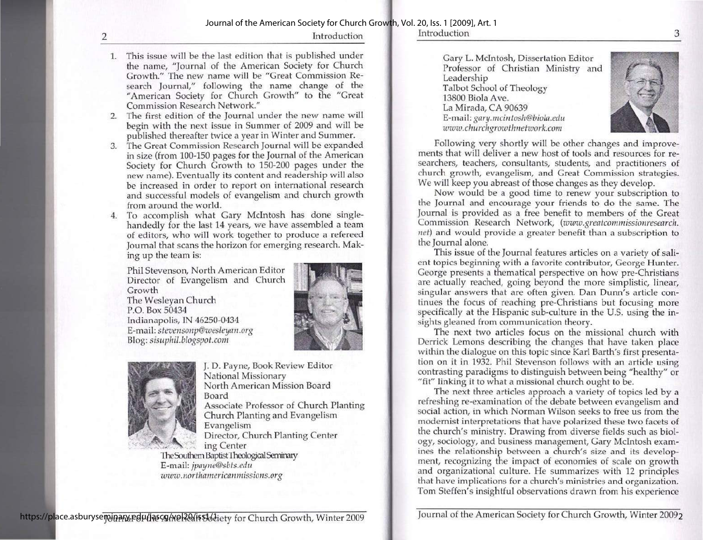2 Introduction

- 1. This issue will be the last edition that is published under the name, "Journal of the American Society for Church Growth." The new name will be "Great Commission Research Journal," following the name change of the "American Society for Church Growth" to the "Great Commission Research Network."
- 2. The first edition of the Journal under the new name will begin with the next issue in Summer of 2009 and will be published thereafter twice a year in Winter and Summer.
- 3. The Great Commission Research Journal will be expanded in size (from 100-150 pages for the Journal of the American Society for Church Growth to 150-200 pages under the new name). Eventually its content and readership will also be increased in order to report on international research and successful models of evangelism and church growth from around the world.
- 4. To accomplish what Gary McIntosh has done singlehandedly for the last 14 years, we have assembled a team of editors, who will work together to produce a refereed Journal that scans the horizon for emerging research. Mak- ing up the team is:

Phil Stevenson, North American Editor Director of Evangelism and Church Growth The Wesleyan Church P.O. Box 50434 Indianapolis, IN 46250-0434 E-mail: stevensonp@wesleyan.org Blog: sisuphil.blogspot.com





J. D. Payne, Book Review Editor National Missionary North American Mission Board Board Associate Professor of Church Planting Church Planting and Evangelism Evangelism Director, Church Planting Center

ing Center<br>The Southem Baptist Theological Seminary E-mail: jpayne@sbts.edu www.northamericanmissions.org

Introduction

the contract of the contract of the contract of the contract of the contract of the contract of the contract of

Gary L. MeIntosh, Dissertation Editor Professor of Christian Ministry and Leadership Talbot School of Theology 13800 Biola Ave. La Mirada, CA 90639 E-mail: gary.mcintosh@biola.edu wwi.churchgrowthnetwork.com



Following very shortly will be other changes and improvements that will deliver a new host of tools and resources for researchers, teachers, consultants, students, and practitioners of church growth, evangelism, and Great Commission strategies. We will keep you abreast of those changes as they develop.

 Now would be a good time to renew your subscription to the Journal and encourage your friends to do the same. The Journal is provided as a free benefit to members of the Great Commission Research Network, (www.greatcommissionresearch. net) and would provide a greater benefit than a subscription to the Journal alone.

This issue of the Journal features articles on a variety of salient topics beginning with a favorite contributor, George Hunter. George presents a thematical perspective on how pre-Christians are actually reached, going beyond the more simplistic, linear, singular answers that are often given. Dan Dunn's article continues the focus of reaching pre-Christians but focusing more specifically at the Hispanic sub-culture in the U.S. using the insights gleaned from communication

within the dialogue on this topic since Karl Barth's first presenta-<br>tion on it in 1932. Phil Stevenson follows with an article using<br>contrasting paradigms to distinguish between being "healthy" or<br>"fit" linking it to what

 refreshing re-examination of the debate between evangelism and social action, in which Norman Wilson seeks to free us from the modernist interpretations that have polarized these two facets of the church's ministry. Drawing from diverse fields such as biolthe church's ministry. Drawing from diverse fields such as biology, sociology, and business management, Gary McIntosh examines the relationship between a church's size and its development, recognizing the impact of economies of scale on growth and organizational culture. He summarizes with 12 principles that have implications for a church's ministries and organization. Tom Steffen's insightful observations drawn from his experience

minary edu/lascy/wel20/iss1/diety for Church Growth, Winter 2009 Journal of the American Society for Church Growth, Winter 2009<sub>2</sub>